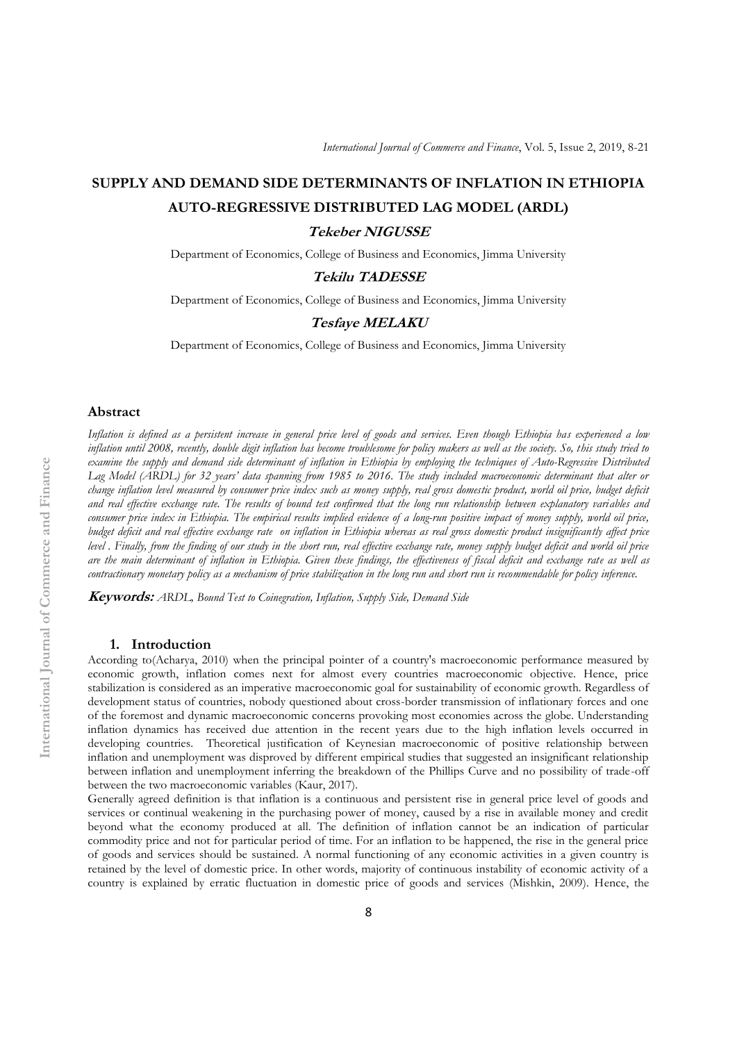# **SUPPLY AND DEMAND SIDE DETERMINANTS OF INFLATION IN ETHIOPIA AUTO-REGRESSIVE DISTRIBUTED LAG MODEL (ARDL)**

# **Tekeber NIGUSSE**

Department of Economics, College of Business and Economics, Jimma University

# **Tekilu TADESSE**

Department of Economics, College of Business and Economics, Jimma University

#### **Tesfaye MELAKU**

Department of Economics, College of Business and Economics, Jimma University

#### **Abstract**

*Inflation is defined as a persistent increase in general price level of goods and services. Even though Ethiopia has experienced a low inflation until 2008, recently, double digit inflation has become troublesome for policy makers as well as the society. So, this study tried to examine the supply and demand side determinant of inflation in Ethiopia by employing the techniques of Auto-Regressive Distributed Lag Model (ARDL) for 32 years' data spanning from 1985 to 2016. The study included macroeconomic determinant that alter or change inflation level measured by consumer price index such as money supply, real gross domestic product, world oil price, budget deficit and real effective exchange rate. The results of bound test confirmed that the long run relationship between explanatory variables and consumer price index in Ethiopia. The empirical results implied evidence of a long-run positive impact of money supply, world oil price, budget deficit and real effective exchange rate on inflation in Ethiopia whereas as real gross domestic product insignificantly affect price level . Finally, from the finding of our study in the short run, real effective exchange rate, money supply budget deficit and world oil price are the main determinant of inflation in Ethiopia. Given these findings, the effectiveness of fiscal deficit and exchange rate as well as contractionary monetary policy as a mechanism of price stabilization in the long run and short run is recommendable for policy inference.*

**Keywords:** *ARDL, Bound Test to Coinegration, Inflation, Supply Side, Demand Side*

#### **1. Introduction**

According to(Acharya, 2010) when the principal pointer of a country's macroeconomic performance measured by economic growth, inflation comes next for almost every countries macroeconomic objective. Hence, price stabilization is considered as an imperative macroeconomic goal for sustainability of economic growth. Regardless of development status of countries, nobody questioned about cross-border transmission of inflationary forces and one of the foremost and dynamic macroeconomic concerns provoking most economies across the globe. Understanding inflation dynamics has received due attention in the recent years due to the high inflation levels occurred in developing countries. Theoretical justification of Keynesian macroeconomic of positive relationship between inflation and unemployment was disproved by different empirical studies that suggested an insignificant relationship between inflation and unemployment inferring the breakdown of the Phillips Curve and no possibility of trade-off between the two macroeconomic variables (Kaur, 2017).

Generally agreed definition is that inflation is a continuous and persistent rise in general price level of goods and services or continual weakening in the purchasing power of money, caused by a rise in available money and credit beyond what the economy produced at all. The definition of inflation cannot be an indication of particular commodity price and not for particular period of time. For an inflation to be happened, the rise in the general price of goods and services should be sustained. A normal functioning of any economic activities in a given country is retained by the level of domestic price. In other words, majority of continuous instability of economic activity of a country is explained by erratic fluctuation in domestic price of goods and services (Mishkin, 2009). Hence, the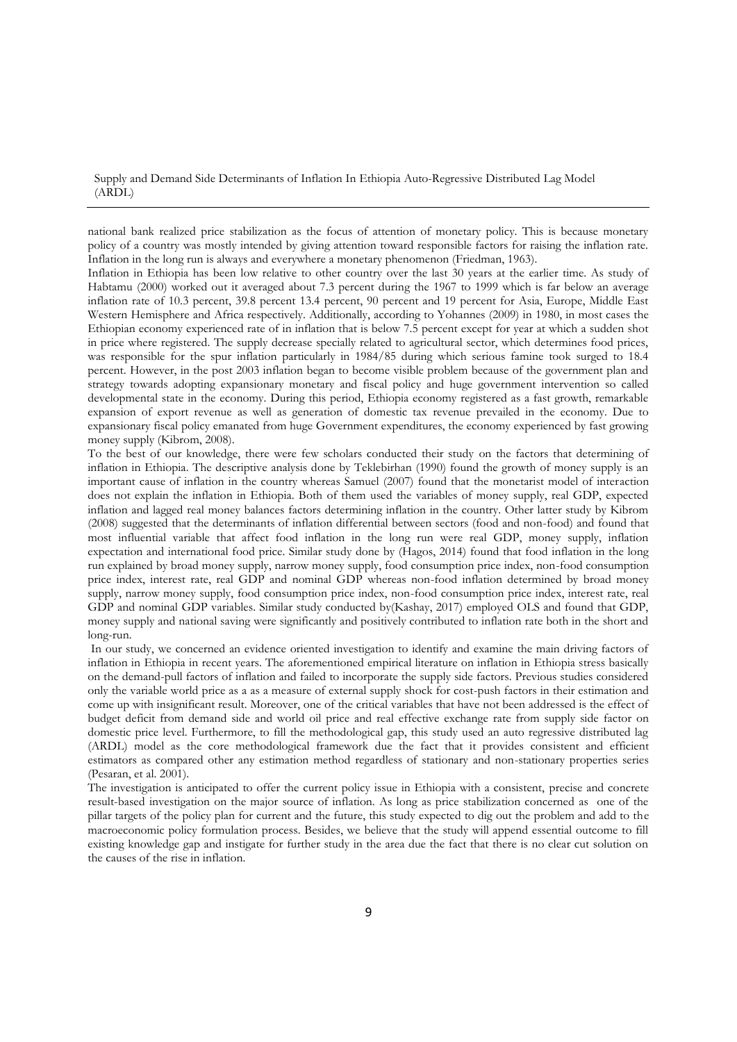national bank realized price stabilization as the focus of attention of monetary policy. This is because monetary policy of a country was mostly intended by giving attention toward responsible factors for raising the inflation rate. Inflation in the long run is always and everywhere a monetary phenomenon (Friedman, 1963).

Inflation in Ethiopia has been low relative to other country over the last 30 years at the earlier time. As study of Habtamu (2000) worked out it averaged about 7.3 percent during the 1967 to 1999 which is far below an average inflation rate of 10.3 percent, 39.8 percent 13.4 percent, 90 percent and 19 percent for Asia, Europe, Middle East Western Hemisphere and Africa respectively. Additionally, according to Yohannes (2009) in 1980, in most cases the Ethiopian economy experienced rate of in inflation that is below 7.5 percent except for year at which a sudden shot in price where registered. The supply decrease specially related to agricultural sector, which determines food prices, was responsible for the spur inflation particularly in 1984/85 during which serious famine took surged to 18.4 percent. However, in the post 2003 inflation began to become visible problem because of the government plan and strategy towards adopting expansionary monetary and fiscal policy and huge government intervention so called developmental state in the economy. During this period, Ethiopia economy registered as a fast growth, remarkable expansion of export revenue as well as generation of domestic tax revenue prevailed in the economy. Due to expansionary fiscal policy emanated from huge Government expenditures, the economy experienced by fast growing money supply (Kibrom, 2008).

To the best of our knowledge, there were few scholars conducted their study on the factors that determining of inflation in Ethiopia. The descriptive analysis done by Teklebirhan (1990) found the growth of money supply is an important cause of inflation in the country whereas Samuel (2007) found that the monetarist model of interaction does not explain the inflation in Ethiopia. Both of them used the variables of money supply, real GDP, expected inflation and lagged real money balances factors determining inflation in the country. Other latter study by Kibrom (2008) suggested that the determinants of inflation differential between sectors (food and non-food) and found that most influential variable that affect food inflation in the long run were real GDP, money supply, inflation expectation and international food price. Similar study done by (Hagos, 2014) found that food inflation in the long run explained by broad money supply, narrow money supply, food consumption price index, non-food consumption price index, interest rate, real GDP and nominal GDP whereas non-food inflation determined by broad money supply, narrow money supply, food consumption price index, non-food consumption price index, interest rate, real GDP and nominal GDP variables. Similar study conducted by(Kashay, 2017) employed OLS and found that GDP, money supply and national saving were significantly and positively contributed to inflation rate both in the short and long-run.

In our study, we concerned an evidence oriented investigation to identify and examine the main driving factors of inflation in Ethiopia in recent years. The aforementioned empirical literature on inflation in Ethiopia stress basically on the demand-pull factors of inflation and failed to incorporate the supply side factors. Previous studies considered only the variable world price as a as a measure of external supply shock for cost-push factors in their estimation and come up with insignificant result. Moreover, one of the critical variables that have not been addressed is the effect of budget deficit from demand side and world oil price and real effective exchange rate from supply side factor on domestic price level. Furthermore, to fill the methodological gap, this study used an auto regressive distributed lag (ARDL) model as the core methodological framework due the fact that it provides consistent and efficient estimators as compared other any estimation method regardless of stationary and non-stationary properties series (Pesaran, et al. 2001).

The investigation is anticipated to offer the current policy issue in Ethiopia with a consistent, precise and concrete result-based investigation on the major source of inflation. As long as price stabilization concerned as one of the pillar targets of the policy plan for current and the future, this study expected to dig out the problem and add to the macroeconomic policy formulation process. Besides, we believe that the study will append essential outcome to fill existing knowledge gap and instigate for further study in the area due the fact that there is no clear cut solution on the causes of the rise in inflation.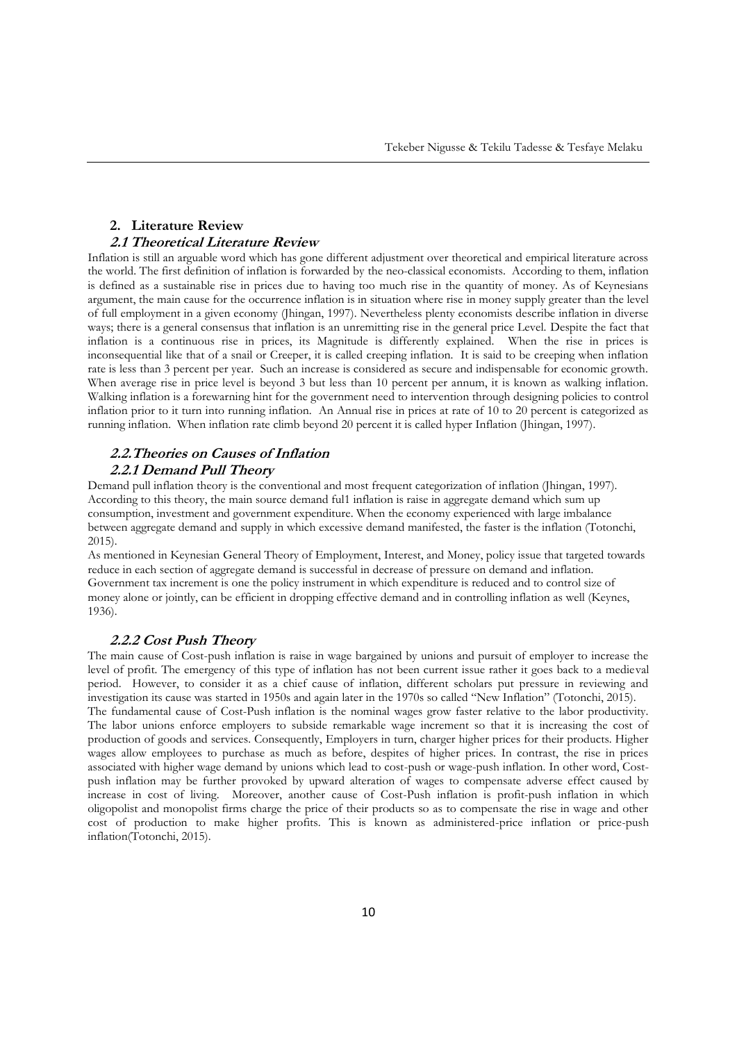# **2. Literature Review 2.1 Theoretical Literature Review**

Inflation is still an arguable word which has gone different adjustment over theoretical and empirical literature across the world. The first definition of inflation is forwarded by the neo-classical economists. According to them, inflation is defined as a sustainable rise in prices due to having too much rise in the quantity of money. As of Keynesians argument, the main cause for the occurrence inflation is in situation where rise in money supply greater than the level of full employment in a given economy (Jhingan, 1997). Nevertheless plenty economists describe inflation in diverse ways; there is a general consensus that inflation is an unremitting rise in the general price Level. Despite the fact that inflation is a continuous rise in prices, its Magnitude is differently explained. When the rise in prices is inconsequential like that of a snail or Creeper, it is called creeping inflation. It is said to be creeping when inflation rate is less than 3 percent per year. Such an increase is considered as secure and indispensable for economic growth. When average rise in price level is beyond 3 but less than 10 percent per annum, it is known as walking inflation. Walking inflation is a forewarning hint for the government need to intervention through designing policies to control inflation prior to it turn into running inflation. An Annual rise in prices at rate of 10 to 20 percent is categorized as running inflation. When inflation rate climb beyond 20 percent it is called hyper Inflation (Jhingan, 1997).

# **2.2.Theories on Causes of Inflation 2.2.1 Demand Pull Theory**

Demand pull inflation theory is the conventional and most frequent categorization of inflation (Jhingan, 1997). According to this theory, the main source demand ful1 inflation is raise in aggregate demand which sum up consumption, investment and government expenditure. When the economy experienced with large imbalance between aggregate demand and supply in which excessive demand manifested, the faster is the inflation (Totonchi, 2015).

As mentioned in Keynesian General Theory of Employment, Interest, and Money, policy issue that targeted towards reduce in each section of aggregate demand is successful in decrease of pressure on demand and inflation. Government tax increment is one the policy instrument in which expenditure is reduced and to control size of money alone or jointly, can be efficient in dropping effective demand and in controlling inflation as well (Keynes, 1936).

# **2.2.2 Cost Push Theory**

The main cause of Cost-push inflation is raise in wage bargained by unions and pursuit of employer to increase the level of profit. The emergency of this type of inflation has not been current issue rather it goes back to a medieval period. However, to consider it as a chief cause of inflation, different scholars put pressure in reviewing and investigation its cause was started in 1950s and again later in the 1970s so called "New Inflation" (Totonchi, 2015). The fundamental cause of Cost-Push inflation is the nominal wages grow faster relative to the labor productivity. The labor unions enforce employers to subside remarkable wage increment so that it is increasing the cost of production of goods and services. Consequently, Employers in turn, charger higher prices for their products. Higher wages allow employees to purchase as much as before, despites of higher prices. In contrast, the rise in prices associated with higher wage demand by unions which lead to cost-push or wage-push inflation. In other word, Costpush inflation may be further provoked by upward alteration of wages to compensate adverse effect caused by increase in cost of living. Moreover, another cause of Cost-Push inflation is profit-push inflation in which oligopolist and monopolist firms charge the price of their products so as to compensate the rise in wage and other cost of production to make higher profits. This is known as administered-price inflation or price-push inflation(Totonchi, 2015).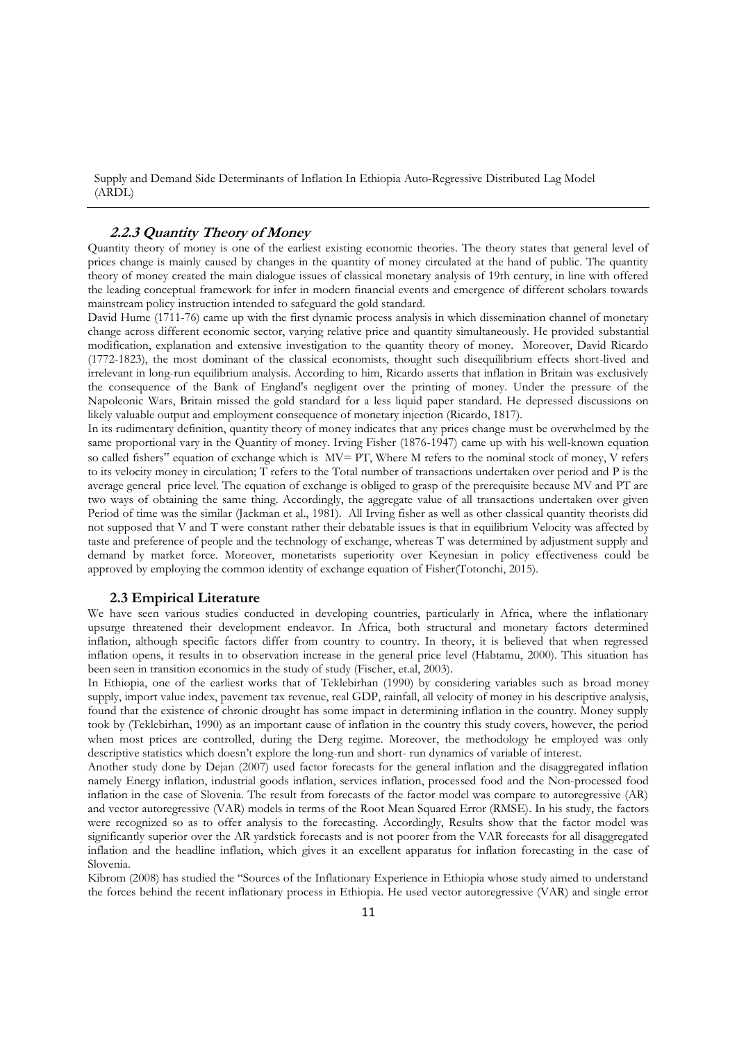# **2.2.3 Quantity Theory of Money**

Quantity theory of money is one of the earliest existing economic theories. The theory states that general level of prices change is mainly caused by changes in the quantity of money circulated at the hand of public. The quantity theory of money created the main dialogue issues of classical monetary analysis of 19th century, in line with offered the leading conceptual framework for infer in modern financial events and emergence of different scholars towards mainstream policy instruction intended to safeguard the gold standard.

David Hume (1711-76) came up with the first dynamic process analysis in which dissemination channel of monetary change across different economic sector, varying relative price and quantity simultaneously. He provided substantial modification, explanation and extensive investigation to the quantity theory of money. Moreover, David Ricardo (1772-1823), the most dominant of the classical economists, thought such disequilibrium effects short-lived and irrelevant in long-run equilibrium analysis. According to him, Ricardo asserts that inflation in Britain was exclusively the consequence of the Bank of England's negligent over the printing of money. Under the pressure of the Napoleonic Wars, Britain missed the gold standard for a less liquid paper standard. He depressed discussions on likely valuable output and employment consequence of monetary injection (Ricardo, 1817).

In its rudimentary definition, quantity theory of money indicates that any prices change must be overwhelmed by the same proportional vary in the Quantity of money. Irving Fisher (1876-1947) came up with his well-known equation so called fishers" equation of exchange which is MV= PT, Where M refers to the nominal stock of money, V refers to its velocity money in circulation; T refers to the Total number of transactions undertaken over period and P is the average general price level. The equation of exchange is obliged to grasp of the prerequisite because MV and PT are two ways of obtaining the same thing. Accordingly, the aggregate value of all transactions undertaken over given Period of time was the similar (Jackman et al., 1981). All Irving fisher as well as other classical quantity theorists did not supposed that V and T were constant rather their debatable issues is that in equilibrium Velocity was affected by taste and preference of people and the technology of exchange, whereas T was determined by adjustment supply and demand by market force. Moreover, monetarists superiority over Keynesian in policy effectiveness could be approved by employing the common identity of exchange equation of Fisher(Totonchi, 2015).

#### **2.3 Empirical Literature**

We have seen various studies conducted in developing countries, particularly in Africa, where the inflationary upsurge threatened their development endeavor. In Africa, both structural and monetary factors determined inflation, although specific factors differ from country to country. In theory, it is believed that when regressed inflation opens, it results in to observation increase in the general price level (Habtamu, 2000). This situation has been seen in transition economics in the study of study (Fischer, et.al, 2003).

In Ethiopia, one of the earliest works that of Teklebirhan (1990) by considering variables such as broad money supply, import value index, pavement tax revenue, real GDP, rainfall, all velocity of money in his descriptive analysis, found that the existence of chronic drought has some impact in determining inflation in the country. Money supply took by (Teklebirhan, 1990) as an important cause of inflation in the country this study covers, however, the period when most prices are controlled, during the Derg regime. Moreover, the methodology he employed was only descriptive statistics which doesn't explore the long-run and short- run dynamics of variable of interest.

Another study done by Dejan (2007) used factor forecasts for the general inflation and the disaggregated inflation namely Energy inflation, industrial goods inflation, services inflation, processed food and the Non-processed food inflation in the case of Slovenia. The result from forecasts of the factor model was compare to autoregressive (AR) and vector autoregressive (VAR) models in terms of the Root Mean Squared Error (RMSE). In his study, the factors were recognized so as to offer analysis to the forecasting. Accordingly, Results show that the factor model was significantly superior over the AR yardstick forecasts and is not poorer from the VAR forecasts for all disaggregated inflation and the headline inflation, which gives it an excellent apparatus for inflation forecasting in the case of Slovenia.

Kibrom (2008) has studied the "Sources of the Inflationary Experience in Ethiopia whose study aimed to understand the forces behind the recent inflationary process in Ethiopia. He used vector autoregressive (VAR) and single error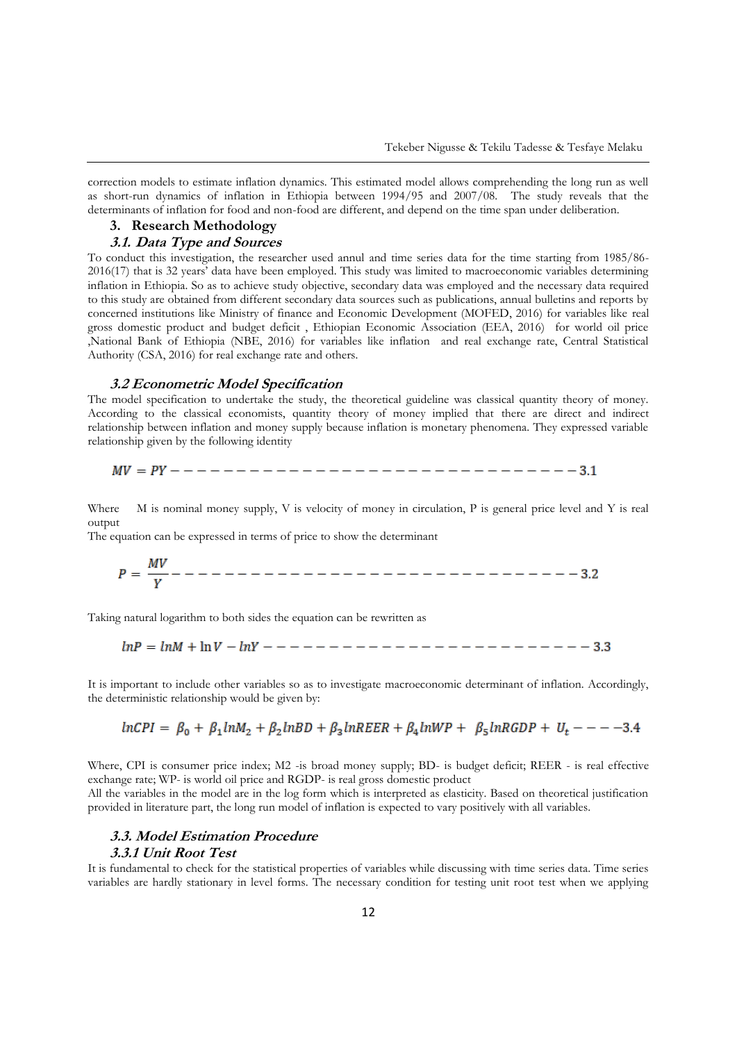correction models to estimate inflation dynamics. This estimated model allows comprehending the long run as well as short-run dynamics of inflation in Ethiopia between 1994/95 and 2007/08. The study reveals that the determinants of inflation for food and non-food are different, and depend on the time span under deliberation.

# **3. Research Methodology**

# **3.1. Data Type and Sources**

To conduct this investigation, the researcher used annul and time series data for the time starting from 1985/86- 2016(17) that is 32 years' data have been employed. This study was limited to macroeconomic variables determining inflation in Ethiopia. So as to achieve study objective, secondary data was employed and the necessary data required to this study are obtained from different secondary data sources such as publications, annual bulletins and reports by concerned institutions like Ministry of finance and Economic Development (MOFED, 2016) for variables like real gross domestic product and budget deficit , Ethiopian Economic Association (EEA, 2016) for world oil price ,National Bank of Ethiopia (NBE, 2016) for variables like inflation and real exchange rate, Central Statistical Authority (CSA, 2016) for real exchange rate and others.

#### **3.2 Econometric Model Specification**

The model specification to undertake the study, the theoretical guideline was classical quantity theory of money. According to the classical economists, quantity theory of money implied that there are direct and indirect relationship between inflation and money supply because inflation is monetary phenomena. They expressed variable relationship given by the following identity

$$
MV = PY---------------------------------------3.1
$$

Where M is nominal money supply, V is velocity of money in circulation, P is general price level and Y is real output

The equation can be expressed in terms of price to show the determinant

Taking natural logarithm to both sides the equation can be rewritten as

It is important to include other variables so as to investigate macroeconomic determinant of inflation. Accordingly, the deterministic relationship would be given by:

$$
lnCPI = \beta_0 + \beta_1 lnM_2 + \beta_2 lnBD + \beta_3 lnREER + \beta_4 lnWP + \beta_5 lnRGDP + U_t --- -3.4
$$

Where, CPI is consumer price index; M2 -is broad money supply; BD- is budget deficit; REER - is real effective exchange rate; WP- is world oil price and RGDP- is real gross domestic product

All the variables in the model are in the log form which is interpreted as elasticity. Based on theoretical justification provided in literature part, the long run model of inflation is expected to vary positively with all variables.

#### **3.3. Model Estimation Procedure**

#### **3.3.1 Unit Root Test**

 $\sim$   $\sim$ 

It is fundamental to check for the statistical properties of variables while discussing with time series data. Time series variables are hardly stationary in level forms. The necessary condition for testing unit root test when we applying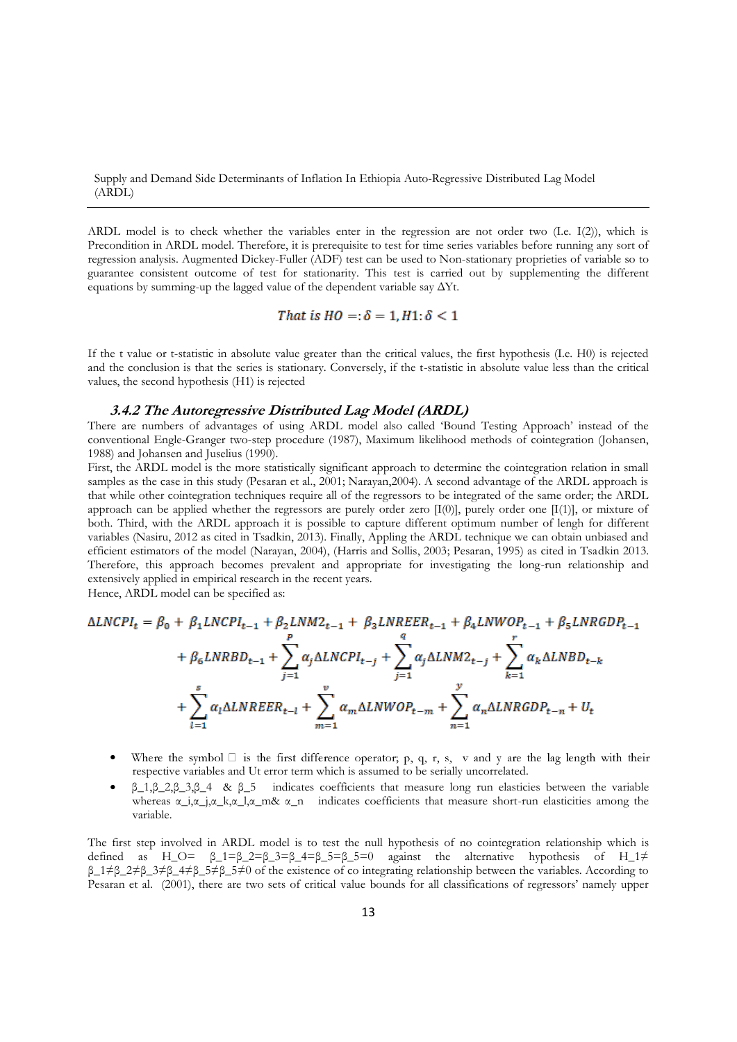ARDL model is to check whether the variables enter in the regression are not order two (I.e. I(2)), which is Precondition in ARDL model. Therefore, it is prerequisite to test for time series variables before running any sort of regression analysis. Augmented Dickey-Fuller (ADF) test can be used to Non-stationary proprieties of variable so to guarantee consistent outcome of test for stationarity. This test is carried out by supplementing the different equations by summing-up the lagged value of the dependent variable say  $\Delta Yt$ .

That is 
$$
HO =
$$
:  $\delta = 1, H1$ :  $\delta < 1$ 

If the t value or t-statistic in absolute value greater than the critical values, the first hypothesis (I.e. H0) is rejected and the conclusion is that the series is stationary. Conversely, if the t-statistic in absolute value less than the critical values, the second hypothesis (H1) is rejected

## **3.4.2 The Autoregressive Distributed Lag Model (ARDL)**

There are numbers of advantages of using ARDL model also called 'Bound Testing Approach' instead of the conventional Engle-Granger two-step procedure (1987), Maximum likelihood methods of cointegration (Johansen, 1988) and Johansen and Juselius (1990).

First, the ARDL model is the more statistically significant approach to determine the cointegration relation in small samples as the case in this study (Pesaran et al., 2001; Narayan, 2004). A second advantage of the ARDL approach is that while other cointegration techniques require all of the regressors to be integrated of the same order; the ARDL approach can be applied whether the regressors are purely order zero  $[I(0)]$ , purely order one  $[I(1)]$ , or mixture of both. Third, with the ARDL approach it is possible to capture different optimum number of lengh for different variables (Nasiru, 2012 as cited in Tsadkin, 2013). Finally, Appling the ARDL technique we can obtain unbiased and efficient estimators of the model (Narayan, 2004), (Harris and Sollis, 2003; Pesaran, 1995) as cited in Tsadkin 2013. Therefore, this approach becomes prevalent and appropriate for investigating the long-run relationship and extensively applied in empirical research in the recent years.

Hence, ARDL model can be specified as:

$$
\Delta LNCPI_{t} = \beta_{0} + \beta_{1}LNCPI_{t-1} + \beta_{2}LNM2_{t-1} + \beta_{3}LNREER_{t-1} + \beta_{4}LNWOP_{t-1} + \beta_{5}LNRGDP_{t-1}
$$

$$
+ \beta_{6}LNRBD_{t-1} + \sum_{j=1}^{P} \alpha_{j}\Delta LNCPI_{t-j} + \sum_{j=1}^{q} \alpha_{j}\Delta LNM2_{t-j} + \sum_{k=1}^{r} \alpha_{k}\Delta LNBD_{t-k}
$$

$$
+ \sum_{l=1}^{s} \alpha_{l}\Delta LNREER_{t-l} + \sum_{m=1}^{v} \alpha_{m}\Delta LNWOP_{t-m} + \sum_{n=1}^{v} \alpha_{n}\Delta LNRGDP_{t-n} + U_{t}
$$

- $\bullet$ Where the symbol  $\square$  is the first difference operator; p, q, r, s, v and y are the lag length with their respective variables and Ut error term which is assumed to be serially uncorrelated.
- β\_1,β\_2,β\_3,β\_4 & β\_5 indicates coefficients that measure long run elasticies between the variable whereas  $\alpha_{i}, \alpha_{j}, \alpha_{k}, \alpha_{l}, \alpha_{m}$ , indicates coefficients that measure short-run elasticities among the variable.

The first step involved in ARDL model is to test the null hypothesis of no cointegration relationship which is defined as  $H_O = \beta_1 = \beta_2 = \beta_3 = \beta_4 = \beta_5 = \beta_5 = 0$  against the alternative hypothesis of  $H_1 \neq$ β\_1≠β\_2≠β\_3≠β\_4≠β\_5≠β\_5≠0 of the existence of co integrating relationship between the variables. According to Pesaran et al. (2001), there are two sets of critical value bounds for all classifications of regressors' namely upper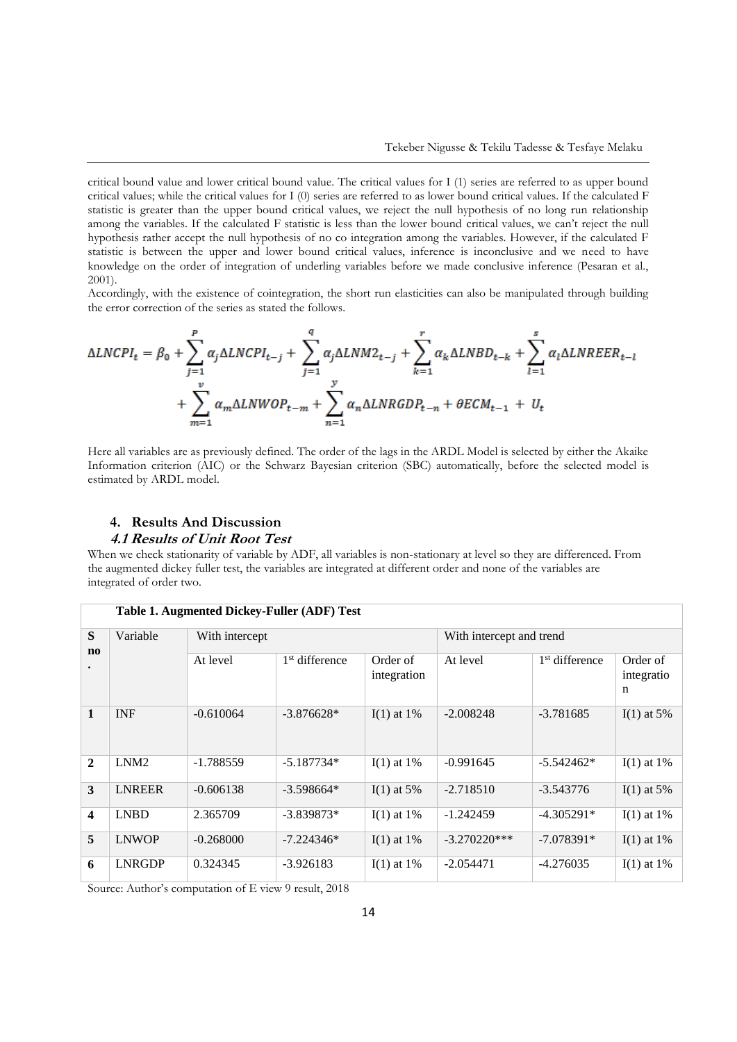critical bound value and lower critical bound value. The critical values for I (1) series are referred to as upper bound critical values; while the critical values for I (0) series are referred to as lower bound critical values. If the calculated F statistic is greater than the upper bound critical values, we reject the null hypothesis of no long run relationship among the variables. If the calculated F statistic is less than the lower bound critical values, we can't reject the null hypothesis rather accept the null hypothesis of no co integration among the variables. However, if the calculated F statistic is between the upper and lower bound critical values, inference is inconclusive and we need to have knowledge on the order of integration of underling variables before we made conclusive inference (Pesaran et al., 2001).

Accordingly, with the existence of cointegration, the short run elasticities can also be manipulated through building the error correction of the series as stated the follows.

$$
\Delta LNCPI_{t} = \beta_{0} + \sum_{j=1}^{P} \alpha_{j} \Delta LNCPI_{t-j} + \sum_{j=1}^{q} \alpha_{j} \Delta LNM2_{t-j} + \sum_{k=1}^{r} \alpha_{k} \Delta LNBD_{t-k} + \sum_{l=1}^{s} \alpha_{l} \Delta LNREER_{t-l} + \sum_{m=1}^{v} \alpha_{m} \Delta LNWOP_{t-m} + \sum_{n=1}^{y} \alpha_{n} \Delta LNRGDP_{t-n} + \theta ECM_{t-1} + U_{t}
$$

Here all variables are as previously defined. The order of the lags in the ARDL Model is selected by either the Akaike Information criterion (AIC) or the Schwarz Bayesian criterion (SBC) automatically, before the selected model is estimated by ARDL model.

# **4. Results And Discussion 4.1 Results of Unit Root Test**

When we check stationarity of variable by ADF, all variables is non-stationary at level so they are differenced. From the augmented dickey fuller test, the variables are integrated at different order and none of the variables are integrated of order two.

| Table 1. Augmented Dickey-Fuller (ADF) Test |                  |                |                            |                         |                          |                  |                             |
|---------------------------------------------|------------------|----------------|----------------------------|-------------------------|--------------------------|------------------|-----------------------------|
| S<br>$\mathbf{n}\mathbf{o}$                 | Variable         | With intercept |                            |                         | With intercept and trend |                  |                             |
|                                             |                  | At level       | 1 <sup>st</sup> difference | Order of<br>integration | At level                 | $1st$ difference | Order of<br>integratio<br>n |
| 1                                           | <b>INF</b>       | $-0.610064$    | $-3.876628*$               | $I(1)$ at 1%            | $-2.008248$              | $-3.781685$      | $I(1)$ at 5%                |
| $\mathbf{2}$                                | LNM <sub>2</sub> | $-1.788559$    | $-5.187734*$               | $I(1)$ at 1%            | $-0.991645$              | $-5.542462*$     | $I(1)$ at 1%                |
| 3                                           | <b>LNREER</b>    | $-0.606138$    | $-3.598664*$               | $I(1)$ at 5%            | $-2.718510$              | $-3.543776$      | $I(1)$ at 5%                |
| $\overline{\mathbf{4}}$                     | <b>LNBD</b>      | 2.365709       | $-3.839873*$               | $I(1)$ at 1%            | -1.242459                | $-4.305291*$     | $I(1)$ at 1%                |
| 5                                           | <b>LNWOP</b>     | $-0.268000$    | $-7.224346*$               | $I(1)$ at 1%            | $-3.270220***$           | $-7.078391*$     | $I(1)$ at 1%                |
| 6                                           | LNRGDP           | 0.324345       | $-3.926183$                | $I(1)$ at 1%            | $-2.054471$              | -4.276035        | $I(1)$ at 1%                |

Source: Author's computation of E view 9 result, 2018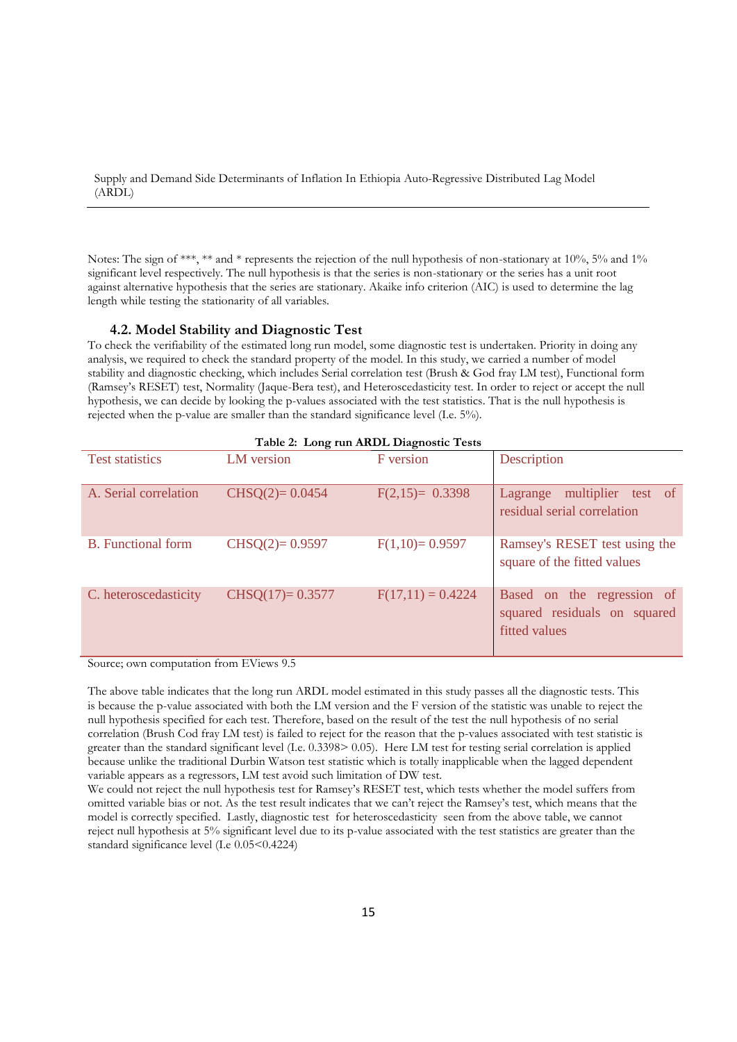Notes: The sign of \*\*\*, \*\* and \* represents the rejection of the null hypothesis of non-stationary at 10%, 5% and 1% significant level respectively. The null hypothesis is that the series is non-stationary or the series has a unit root against alternative hypothesis that the series are stationary. Akaike info criterion (AIC) is used to determine the lag length while testing the stationarity of all variables.

## **4.2. Model Stability and Diagnostic Test**

To check the verifiability of the estimated long run model, some diagnostic test is undertaken. Priority in doing any analysis, we required to check the standard property of the model. In this study, we carried a number of model stability and diagnostic checking, which includes Serial correlation test (Brush & God fray LM test), Functional form (Ramsey's RESET) test, Normality (Jaque-Bera test), and Heteroscedasticity test. In order to reject or accept the null hypothesis, we can decide by looking the p-values associated with the test statistics. That is the null hypothesis is rejected when the p-value are smaller than the standard significance level (I.e. 5%).

| Table 2: Long run ARDL Diagnostic Tests |                   |                     |                                                                             |  |  |
|-----------------------------------------|-------------------|---------------------|-----------------------------------------------------------------------------|--|--|
| <b>Test statistics</b>                  | LM version        | <b>F</b> version    | Description                                                                 |  |  |
| A. Serial correlation                   | $CHSQ(2)= 0.0454$ | $F(2,15)= 0.3398$   | multiplier<br>test of<br>Lagrange<br>residual serial correlation            |  |  |
| <b>B.</b> Functional form               | $CHSQ(2)=0.9597$  | $F(1,10)=0.9597$    | Ramsey's RESET test using the<br>square of the fitted values                |  |  |
| C. heteroscedasticity                   | $CHSQ(17)=0.3577$ | $F(17,11) = 0.4224$ | Based on the regression of<br>squared residuals on squared<br>fitted values |  |  |

Source; own computation from EViews 9.5

The above table indicates that the long run ARDL model estimated in this study passes all the diagnostic tests. This is because the p-value associated with both the LM version and the F version of the statistic was unable to reject the null hypothesis specified for each test. Therefore, based on the result of the test the null hypothesis of no serial correlation (Brush Cod fray LM test) is failed to reject for the reason that the p-values associated with test statistic is greater than the standard significant level (I.e. 0.3398> 0.05). Here LM test for testing serial correlation is applied because unlike the traditional Durbin Watson test statistic which is totally inapplicable when the lagged dependent variable appears as a regressors, LM test avoid such limitation of DW test.

We could not reject the null hypothesis test for Ramsey's RESET test, which tests whether the model suffers from omitted variable bias or not. As the test result indicates that we can't reject the Ramsey's test, which means that the model is correctly specified. Lastly, diagnostic test for heteroscedasticity seen from the above table, we cannot reject null hypothesis at 5% significant level due to its p-value associated with the test statistics are greater than the standard significance level (I.e  $0.05<0.4224$ )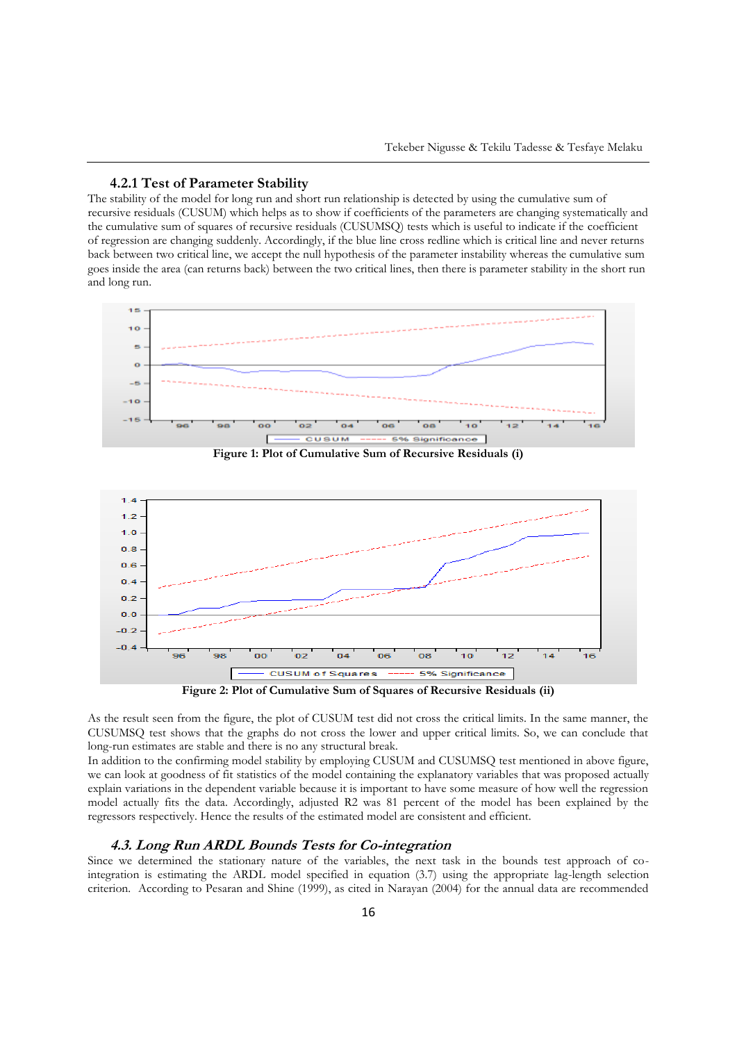## **4.2.1 Test of Parameter Stability**

The stability of the model for long run and short run relationship is detected by using the cumulative sum of recursive residuals (CUSUM) which helps as to show if coefficients of the parameters are changing systematically and the cumulative sum of squares of recursive residuals (CUSUMSQ) tests which is useful to indicate if the coefficient of regression are changing suddenly. Accordingly, if the blue line cross redline which is critical line and never returns back between two critical line, we accept the null hypothesis of the parameter instability whereas the cumulative sum goes inside the area (can returns back) between the two critical lines, then there is parameter stability in the short run and long run.





As the result seen from the figure, the plot of CUSUM test did not cross the critical limits. In the same manner, the CUSUMSQ test shows that the graphs do not cross the lower and upper critical limits. So, we can conclude that long-run estimates are stable and there is no any structural break.

In addition to the confirming model stability by employing CUSUM and CUSUMSQ test mentioned in above figure, we can look at goodness of fit statistics of the model containing the explanatory variables that was proposed actually explain variations in the dependent variable because it is important to have some measure of how well the regression model actually fits the data. Accordingly, adjusted R2 was 81 percent of the model has been explained by the regressors respectively. Hence the results of the estimated model are consistent and efficient.

# **4.3. Long Run ARDL Bounds Tests for Co-integration**

Since we determined the stationary nature of the variables, the next task in the bounds test approach of cointegration is estimating the ARDL model specified in equation (3.7) using the appropriate lag-length selection criterion. According to Pesaran and Shine (1999), as cited in Narayan (2004) for the annual data are recommended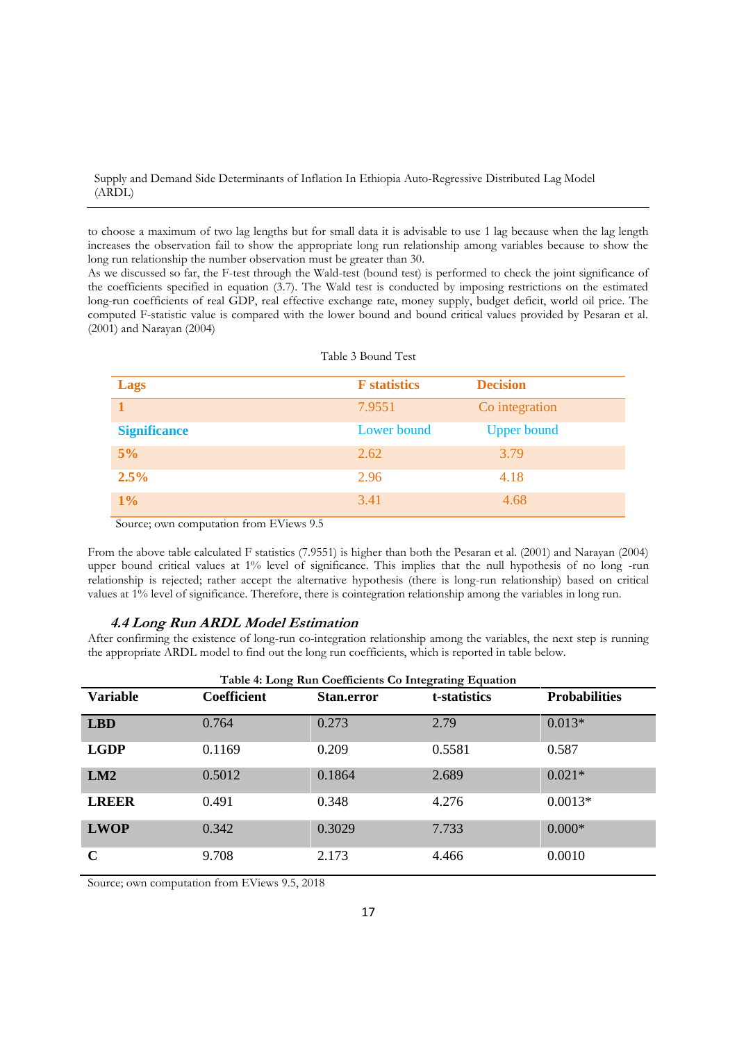to choose a maximum of two lag lengths but for small data it is advisable to use 1 lag because when the lag length increases the observation fail to show the appropriate long run relationship among variables because to show the long run relationship the number observation must be greater than 30.

As we discussed so far, the F-test through the Wald-test (bound test) is performed to check the joint significance of the coefficients specified in equation (3.7). The Wald test is conducted by imposing restrictions on the estimated long-run coefficients of real GDP, real effective exchange rate, money supply, budget deficit, world oil price. The computed F-statistic value is compared with the lower bound and bound critical values provided by Pesaran et al. (2001) and Narayan (2004)

| <b>Lags</b>         | <b>F</b> statistics | <b>Decision</b>    |
|---------------------|---------------------|--------------------|
|                     | 7.9551              | Co integration     |
| <b>Significance</b> | Lower bound         | <b>Upper bound</b> |
| 5%                  | 2.62                | 3.79               |
| 2.5%                | 2.96                | 4.18               |
| $1\%$               | 3.41                | 4.68               |

Source; own computation from EViews 9.5

From the above table calculated F statistics (7.9551) is higher than both the Pesaran et al. (2001) and Narayan (2004) upper bound critical values at 1% level of significance. This implies that the null hypothesis of no long -run relationship is rejected; rather accept the alternative hypothesis (there is long-run relationship) based on critical values at 1% level of significance. Therefore, there is cointegration relationship among the variables in long run.

## **4.4 Long Run ARDL Model Estimation**

After confirming the existence of long-run co-integration relationship among the variables, the next step is running the appropriate ARDL model to find out the long run coefficients, which is reported in table below.

| Table 4: Long Run Coefficients Co Integrating Equation |                    |                   |              |                      |  |
|--------------------------------------------------------|--------------------|-------------------|--------------|----------------------|--|
| <b>Variable</b>                                        | <b>Coefficient</b> | <b>Stan.error</b> | t-statistics | <b>Probabilities</b> |  |
| <b>LBD</b>                                             | 0.764              | 0.273             | 2.79         | $0.013*$             |  |
| <b>LGDP</b>                                            | 0.1169             | 0.209             | 0.5581       | 0.587                |  |
| LM2                                                    | 0.5012             | 0.1864            | 2.689        | $0.021*$             |  |
| <b>LREER</b>                                           | 0.491              | 0.348             | 4.276        | $0.0013*$            |  |
| <b>LWOP</b>                                            | 0.342              | 0.3029            | 7.733        | $0.000*$             |  |
| $\mathbf C$                                            | 9.708              | 2.173             | 4.466        | 0.0010               |  |

Source; own computation from EViews 9.5, 2018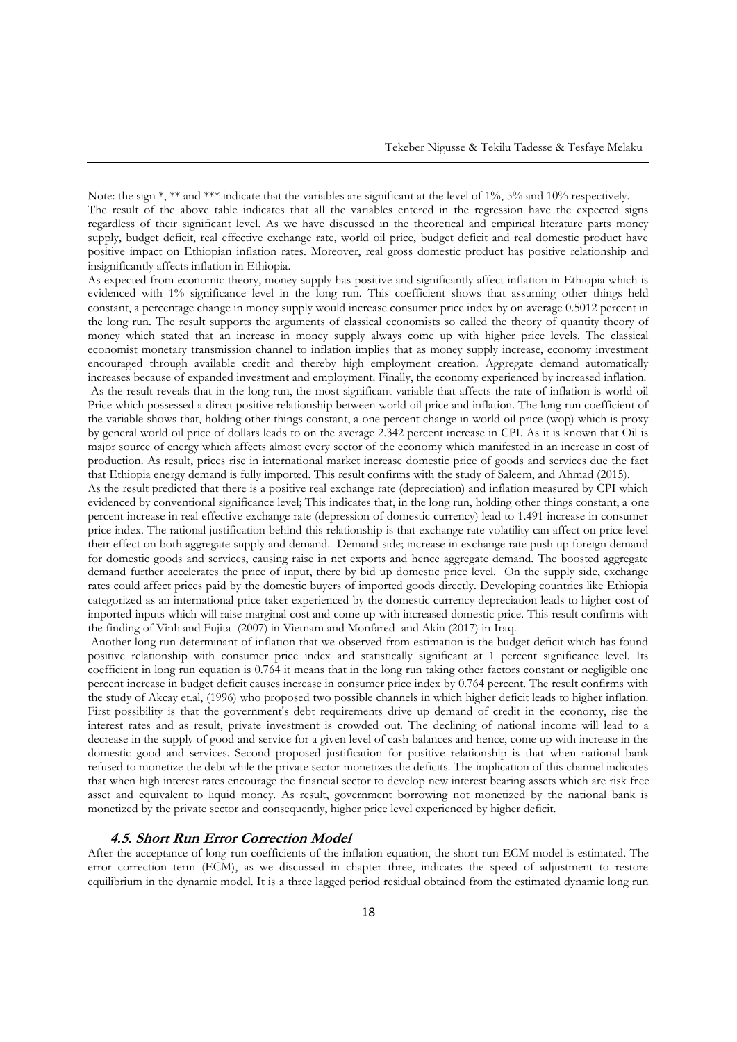Note: the sign \*, \*\* and \*\*\* indicate that the variables are significant at the level of 1%, 5% and 10% respectively. The result of the above table indicates that all the variables entered in the regression have the expected signs regardless of their significant level. As we have discussed in the theoretical and empirical literature parts money supply, budget deficit, real effective exchange rate, world oil price, budget deficit and real domestic product have positive impact on Ethiopian inflation rates. Moreover, real gross domestic product has positive relationship and insignificantly affects inflation in Ethiopia.

As expected from economic theory, money supply has positive and significantly affect inflation in Ethiopia which is evidenced with 1% significance level in the long run. This coefficient shows that assuming other things held constant, a percentage change in money supply would increase consumer price index by on average 0.5012 percent in the long run. The result supports the arguments of classical economists so called the theory of quantity theory of money which stated that an increase in money supply always come up with higher price levels. The classical economist monetary transmission channel to inflation implies that as money supply increase, economy investment encouraged through available credit and thereby high employment creation. Aggregate demand automatically increases because of expanded investment and employment. Finally, the economy experienced by increased inflation. As the result reveals that in the long run, the most significant variable that affects the rate of inflation is world oil Price which possessed a direct positive relationship between world oil price and inflation. The long run coefficient of the variable shows that, holding other things constant, a one percent change in world oil price (wop) which is proxy by general world oil price of dollars leads to on the average 2.342 percent increase in CPI. As it is known that Oil is major source of energy which affects almost every sector of the economy which manifested in an increase in cost of production. As result, prices rise in international market increase domestic price of goods and services due the fact that Ethiopia energy demand is fully imported. This result confirms with the study of Saleem, and Ahmad (2015).

As the result predicted that there is a positive real exchange rate (depreciation) and inflation measured by CPI which evidenced by conventional significance level; This indicates that, in the long run, holding other things constant, a one percent increase in real effective exchange rate (depression of domestic currency) lead to 1.491 increase in consumer price index. The rational justification behind this relationship is that exchange rate volatility can affect on price level their effect on both aggregate supply and demand. Demand side; increase in exchange rate push up foreign demand for domestic goods and services, causing raise in net exports and hence aggregate demand. The boosted aggregate demand further accelerates the price of input, there by bid up domestic price level. On the supply side, exchange rates could affect prices paid by the domestic buyers of imported goods directly. Developing countries like Ethiopia categorized as an international price taker experienced by the domestic currency depreciation leads to higher cost of imported inputs which will raise marginal cost and come up with increased domestic price. This result confirms with the finding of Vinh and Fujita (2007) in Vietnam and Monfared and Akin (2017) in Iraq.

Another long run determinant of inflation that we observed from estimation is the budget deficit which has found positive relationship with consumer price index and statistically significant at 1 percent significance level. Its coefficient in long run equation is 0.764 it means that in the long run taking other factors constant or negligible one percent increase in budget deficit causes increase in consumer price index by 0.764 percent. The result confirms with the study of Akcay et.al, (1996) who proposed two possible channels in which higher deficit leads to higher inflation. First possibility is that the government's debt requirements drive up demand of credit in the economy, rise the interest rates and as result, private investment is crowded out. The declining of national income will lead to a decrease in the supply of good and service for a given level of cash balances and hence, come up with increase in the domestic good and services. Second proposed justification for positive relationship is that when national bank refused to monetize the debt while the private sector monetizes the deficits. The implication of this channel indicates that when high interest rates encourage the financial sector to develop new interest bearing assets which are risk free asset and equivalent to liquid money. As result, government borrowing not monetized by the national bank is monetized by the private sector and consequently, higher price level experienced by higher deficit.

# **4.5. Short Run Error Correction Model**

After the acceptance of long-run coefficients of the inflation equation, the short-run ECM model is estimated. The error correction term (ECM), as we discussed in chapter three, indicates the speed of adjustment to restore equilibrium in the dynamic model. It is a three lagged period residual obtained from the estimated dynamic long run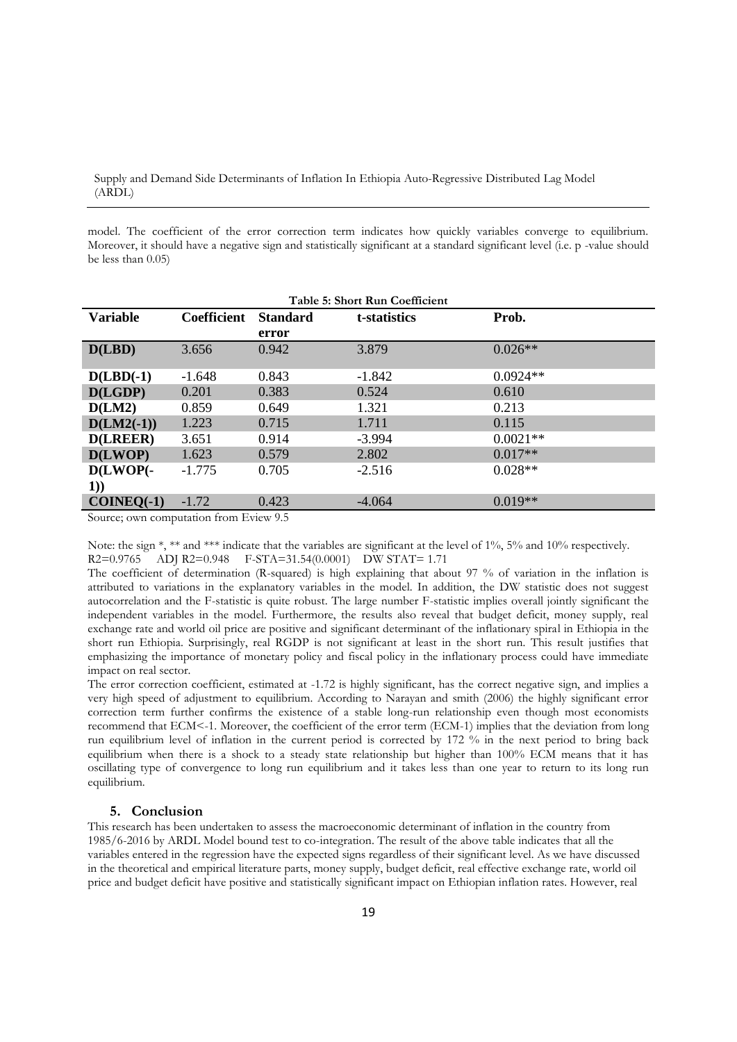model. The coefficient of the error correction term indicates how quickly variables converge to equilibrium. Moreover, it should have a negative sign and statistically significant at a standard significant level (i.e. p -value should be less than 0.05)

| Table 5: Short Run Coefficient         |             |                 |              |            |  |
|----------------------------------------|-------------|-----------------|--------------|------------|--|
| <b>Variable</b>                        | Coefficient | <b>Standard</b> | t-statistics | Prob.      |  |
|                                        |             | error           |              |            |  |
| D(LBD)                                 | 3.656       | 0.942           | 3.879        | $0.026**$  |  |
| $D(LBD(-1))$                           | $-1.648$    | 0.843           | $-1.842$     | $0.0924**$ |  |
| D(LGDP)                                | 0.201       | 0.383           | 0.524        | 0.610      |  |
| D(LM2)                                 | 0.859       | 0.649           | 1.321        | 0.213      |  |
| $D(LM2(-1))$                           | 1.223       | 0.715           | 1.711        | 0.115      |  |
| <b>D(LREER)</b>                        | 3.651       | 0.914           | $-3.994$     | $0.0021**$ |  |
| D(LWOP)                                | 1.623       | 0.579           | 2.802        | $0.017**$  |  |
| $D(LWOP(-))$                           | $-1.775$    | 0.705           | $-2.516$     | $0.028**$  |  |
| 1)                                     |             |                 |              |            |  |
| $COINEQ(-1)$                           | $-1.72$     | 0.423           | $-4.064$     | $0.019**$  |  |
| Source: own computation from Eview 9.5 |             |                 |              |            |  |

Source; own computation from Eview 9.5

Note: the sign  $*$ ,  $**$  and  $***$  indicate that the variables are significant at the level of 1%, 5% and 10% respectively.

R2=0.9765 ADJ R2=0.948 F-STA=31.54(0.0001) DW STAT= 1.71

The coefficient of determination (R-squared) is high explaining that about 97 % of variation in the inflation is attributed to variations in the explanatory variables in the model. In addition, the DW statistic does not suggest autocorrelation and the F-statistic is quite robust. The large number F-statistic implies overall jointly significant the independent variables in the model. Furthermore, the results also reveal that budget deficit, money supply, real exchange rate and world oil price are positive and significant determinant of the inflationary spiral in Ethiopia in the short run Ethiopia. Surprisingly, real RGDP is not significant at least in the short run. This result justifies that emphasizing the importance of monetary policy and fiscal policy in the inflationary process could have immediate impact on real sector.

The error correction coefficient, estimated at -1.72 is highly significant, has the correct negative sign, and implies a very high speed of adjustment to equilibrium. According to Narayan and smith (2006) the highly significant error correction term further confirms the existence of a stable long-run relationship even though most economists recommend that ECM<-1. Moreover, the coefficient of the error term (ECM-1) implies that the deviation from long run equilibrium level of inflation in the current period is corrected by 172 % in the next period to bring back equilibrium when there is a shock to a steady state relationship but higher than 100% ECM means that it has oscillating type of convergence to long run equilibrium and it takes less than one year to return to its long run equilibrium.

# **5. Conclusion**

This research has been undertaken to assess the macroeconomic determinant of inflation in the country from 1985/6-2016 by ARDL Model bound test to co-integration. The result of the above table indicates that all the variables entered in the regression have the expected signs regardless of their significant level. As we have discussed in the theoretical and empirical literature parts, money supply, budget deficit, real effective exchange rate, world oil price and budget deficit have positive and statistically significant impact on Ethiopian inflation rates. However, real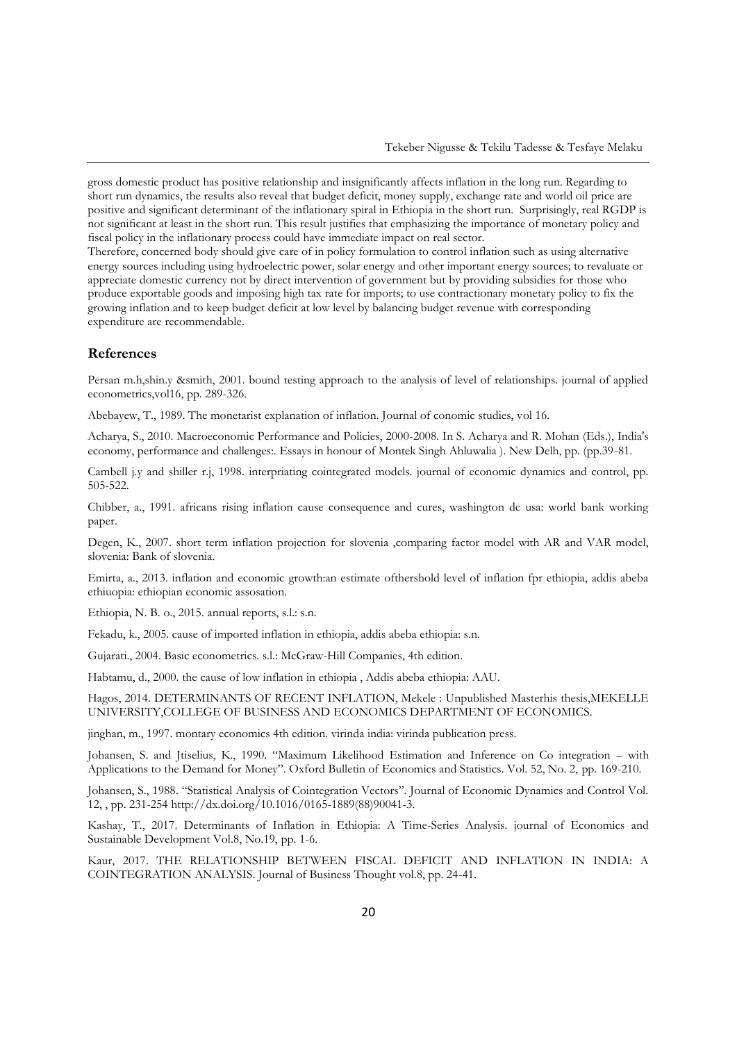gross domestic product has positive relationship and insignificantly affects inflation in the long run. Regarding to short run dynamics, the results also reveal that budget deficit, money supply, exchange rate and world oil price are positive and significant determinant of the inflationary spiral in Ethiopia in the short run. Surprisingly, real RGDP is not significant at least in the short run. This result justifies that emphasizing the importance of monetary policy and fiscal policy in the inflationary process could have immediate impact on real sector.

Therefore, concerned body should give care of in policy formulation to control inflation such as using alternative energy sources including using hydroelectric power, solar energy and other important energy sources; to revaluate or appreciate domestic currency not by direct intervention of government but by providing subsidies for those who produce exportable goods and imposing high tax rate for imports; to use contractionary monetary policy to fix the growing inflation and to keep budget deficit at low level by balancing budget revenue with corresponding expenditure are recommendable.

#### **References**

Persan m.h,shin.y &smith, 2001. bound testing approach to the analysis of level of relationships. journal of applied econometrics,vol16, pp. 289-326.

Abebayew, T., 1989. The monetarist explanation of inflation. Journal of conomic studies, vol 16.

Acharya, S., 2010. Macroeconomic Performance and Policies, 2000-2008. In S. Acharya and R. Mohan (Eds.), India's economy, performance and challenges:. Essays in honour of Montek Singh Ahluwalia ). New Delh, pp. (pp.39-81.

Cambell j.y and shiller r.j, 1998. interpriating cointegrated models. journal of economic dynamics and control, pp. 505-522.

Chibber, a., 1991. africans rising inflation cause consequence and cures, washington dc usa: world bank working paper.

Degen, K., 2007. short term inflation projection for slovenia ,comparing factor model with AR and VAR model, slovenia: Bank of slovenia.

Emirta, a., 2013. inflation and economic growth:an estimate ofthershold level of inflation fpr ethiopia, addis abeba ethiuopia: ethiopian economic assosation.

Ethiopia, N. B. o., 2015. annual reports, s.l.: s.n.

Fekadu, k., 2005. cause of imported inflation in ethiopia, addis abeba ethiopia: s.n.

Gujarati., 2004. Basic econometrics. s.l.: McGraw-Hill Companies, 4th edition.

Habtamu, d., 2000. the cause of low inflation in ethiopia , Addis abeba ethiopia: AAU.

Hagos, 2014. DETERMINANTS OF RECENT INFLATION, Mekele : Unpublished Masterhis thesis,MEKELLE UNIVERSITY,COLLEGE OF BUSINESS AND ECONOMICS DEPARTMENT OF ECONOMICS.

jinghan, m., 1997. montary economics 4th edition. virinda india: virinda publication press.

Johansen, S. and Jtiselius, K., 1990. "Maximum Likelihood Estimation and Inference on Co integration – with Applications to the Demand for Money". Oxford Bulletin of Economics and Statistics. Vol. 52, No. 2, pp. 169-210.

Johansen, S., 1988. "Statistical Analysis of Cointegration Vectors". Journal of Economic Dynamics and Control Vol. 12, , pp. 231-254 http://dx.doi.org/10.1016/0165-1889(88)90041-3.

Kashay, T., 2017. Determinants of Inflation in Ethiopia: A Time-Series Analysis. journal of Economics and Sustainable Development Vol.8, No.19, pp. 1-6.

Kaur, 2017. THE RELATIONSHIP BETWEEN FISCAL DEFICIT AND INFLATION IN INDIA: A COINTEGRATION ANALYSIS. Journal of Business Thought vol.8, pp. 24-41.